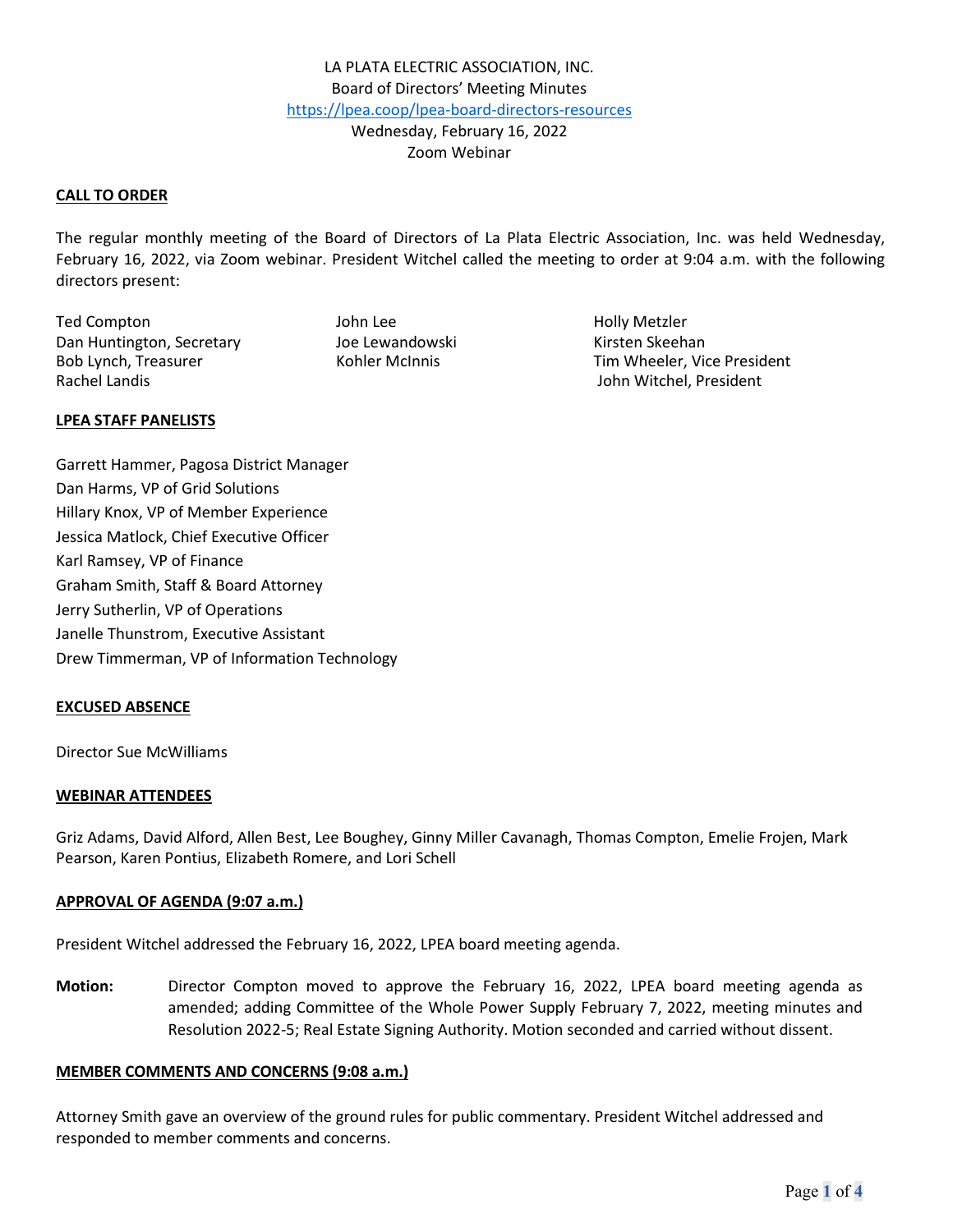### **CALL TO ORDER**

The regular monthly meeting of the Board of Directors of La Plata Electric Association, Inc. was held Wednesday, February 16, 2022, via Zoom webinar. President Witchel called the meeting to order at 9:04 a.m. with the following directors present:

Ted Compton The Compton Compton Compton Compton Compton Compton John Lee The Holly Metzler Dan Huntington, Secretary **Manual School** Joe Lewandowski Kirsten Skeehan Rachel Landis John Witchel, President

Bob Lynch, Treasurer Tim Wheeler, Vice President

### **LPEA STAFF PANELISTS**

Garrett Hammer, Pagosa District Manager Dan Harms, VP of Grid Solutions Hillary Knox, VP of Member Experience Jessica Matlock, Chief Executive Officer Karl Ramsey, VP of Finance Graham Smith, Staff & Board Attorney Jerry Sutherlin, VP of Operations Janelle Thunstrom, Executive Assistant Drew Timmerman, VP of Information Technology

#### **EXCUSED ABSENCE**

Director Sue McWilliams

#### **WEBINAR ATTENDEES**

Griz Adams, David Alford, Allen Best, Lee Boughey, Ginny Miller Cavanagh, Thomas Compton, Emelie Frojen, Mark Pearson, Karen Pontius, Elizabeth Romere, and Lori Schell

#### **APPROVAL OF AGENDA (9:07 a.m.)**

President Witchel addressed the February 16, 2022, LPEA board meeting agenda.

**Motion:** Director Compton moved to approve the February 16, 2022, LPEA board meeting agenda as amended; adding Committee of the Whole Power Supply February 7, 2022, meeting minutes and Resolution 2022-5; Real Estate Signing Authority. Motion seconded and carried without dissent.

### **MEMBER COMMENTS AND CONCERNS (9:08 a.m.)**

Attorney Smith gave an overview of the ground rules for public commentary. President Witchel addressed and responded to member comments and concerns.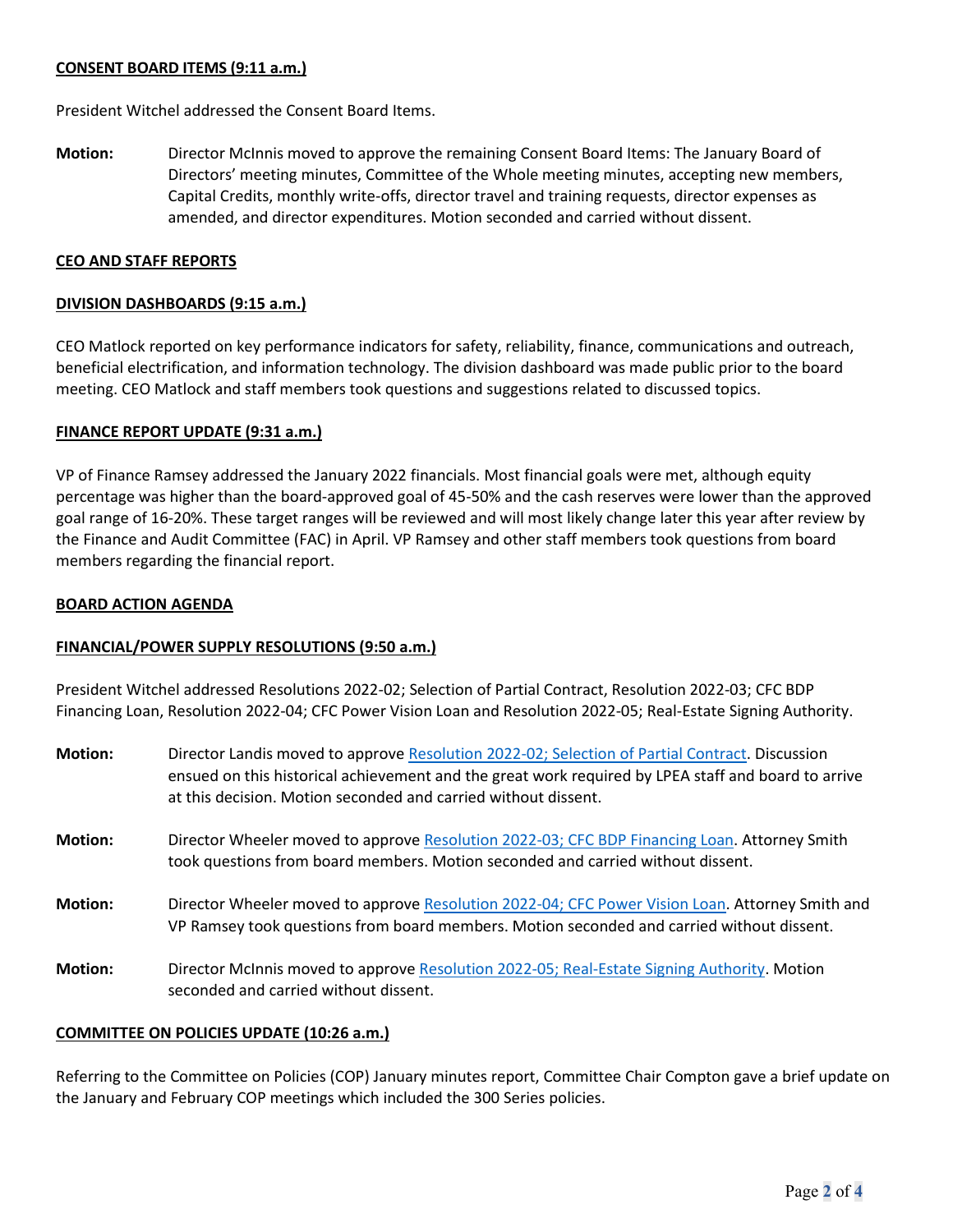# **CONSENT BOARD ITEMS (9:11 a.m.)**

President Witchel addressed the Consent Board Items.

**Motion:** Director McInnis moved to approve the remaining Consent Board Items: The January Board of Directors' meeting minutes, Committee of the Whole meeting minutes, accepting new members, Capital Credits, monthly write-offs, director travel and training requests, director expenses as amended, and director expenditures. Motion seconded and carried without dissent.

# **CEO AND STAFF REPORTS**

### **DIVISION DASHBOARDS (9:15 a.m.)**

CEO Matlock reported on key performance indicators for safety, reliability, finance, communications and outreach, beneficial electrification, and information technology. The division dashboard was made public prior to the board meeting. CEO Matlock and staff members took questions and suggestions related to discussed topics.

# **FINANCE REPORT UPDATE (9:31 a.m.)**

VP of Finance Ramsey addressed the January 2022 financials. Most financial goals were met, although equity percentage was higher than the board-approved goal of 45-50% and the cash reserves were lower than the approved goal range of 16-20%. These target ranges will be reviewed and will most likely change later this year after review by the Finance and Audit Committee (FAC) in April. VP Ramsey and other staff members took questions from board members regarding the financial report.

# **BOARD ACTION AGENDA**

# **FINANCIAL/POWER SUPPLY RESOLUTIONS (9:50 a.m.)**

President Witchel addressed Resolutions 2022-02; Selection of Partial Contract, Resolution 2022-03; CFC BDP Financing Loan, Resolution 2022-04; CFC Power Vision Loan and Resolution 2022-05; Real-Estate Signing Authority.

| <b>Motion:</b> | Director Landis moved to approve Resolution 2022-02; Selection of Partial Contract. Discussion<br>ensued on this historical achievement and the great work required by LPEA staff and board to arrive<br>at this decision. Motion seconded and carried without dissent. |
|----------------|-------------------------------------------------------------------------------------------------------------------------------------------------------------------------------------------------------------------------------------------------------------------------|
| <b>Motion:</b> | Director Wheeler moved to approve Resolution 2022-03; CFC BDP Financing Loan. Attorney Smith<br>took questions from board members. Motion seconded and carried without dissent.                                                                                         |
| <b>Motion:</b> | Director Wheeler moved to approve Resolution 2022-04; CFC Power Vision Loan. Attorney Smith and<br>VP Ramsey took questions from board members. Motion seconded and carried without dissent.                                                                            |
| <b>Motion:</b> | Director McInnis moved to approve Resolution 2022-05; Real-Estate Signing Authority. Motion<br>seconded and carried without dissent.                                                                                                                                    |

### **COMMITTEE ON POLICIES UPDATE (10:26 a.m.)**

Referring to the Committee on Policies (COP) January minutes report, Committee Chair Compton gave a brief update on the January and February COP meetings which included the 300 Series policies.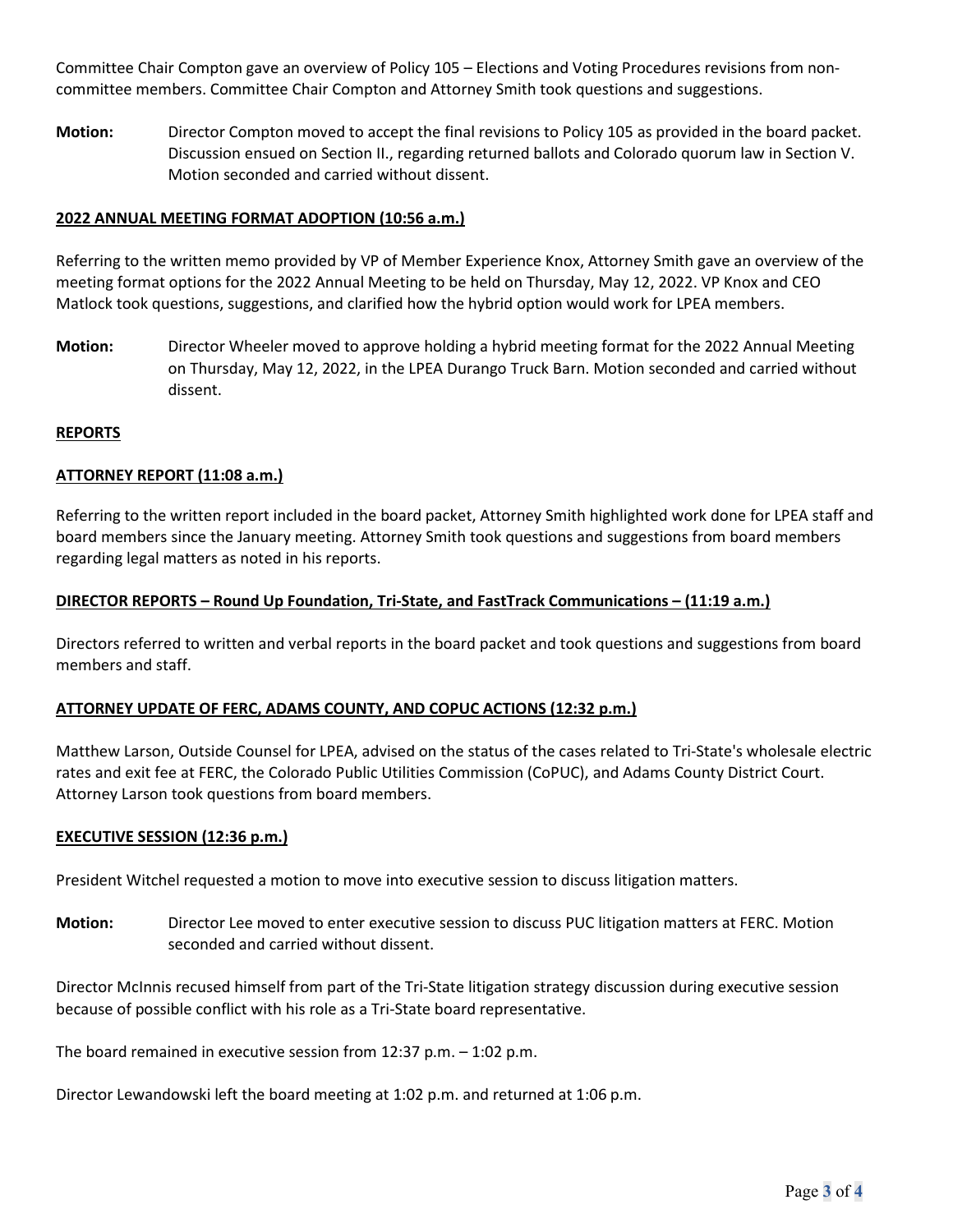Committee Chair Compton gave an overview of Policy 105 – Elections and Voting Procedures revisions from noncommittee members. Committee Chair Compton and Attorney Smith took questions and suggestions.

**Motion:** Director Compton moved to accept the final revisions to Policy 105 as provided in the board packet. Discussion ensued on Section II., regarding returned ballots and Colorado quorum law in Section V. Motion seconded and carried without dissent.

# **2022 ANNUAL MEETING FORMAT ADOPTION (10:56 a.m.)**

Referring to the written memo provided by VP of Member Experience Knox, Attorney Smith gave an overview of the meeting format options for the 2022 Annual Meeting to be held on Thursday, May 12, 2022. VP Knox and CEO Matlock took questions, suggestions, and clarified how the hybrid option would work for LPEA members.

**Motion:** Director Wheeler moved to approve holding a hybrid meeting format for the 2022 Annual Meeting on Thursday, May 12, 2022, in the LPEA Durango Truck Barn. Motion seconded and carried without dissent.

### **REPORTS**

# **ATTORNEY REPORT (11:08 a.m.)**

Referring to the written report included in the board packet, Attorney Smith highlighted work done for LPEA staff and board members since the January meeting. Attorney Smith took questions and suggestions from board members regarding legal matters as noted in his reports.

### **DIRECTOR REPORTS – Round Up Foundation, Tri-State, and FastTrack Communications – (11:19 a.m.)**

Directors referred to written and verbal reports in the board packet and took questions and suggestions from board members and staff.

### **ATTORNEY UPDATE OF FERC, ADAMS COUNTY, AND COPUC ACTIONS (12:32 p.m.)**

Matthew Larson, Outside Counsel for LPEA, advised on the status of the cases related to Tri-State's wholesale electric rates and exit fee at FERC, the Colorado Public Utilities Commission (CoPUC), and Adams County District Court. Attorney Larson took questions from board members.

### **EXECUTIVE SESSION (12:36 p.m.)**

President Witchel requested a motion to move into executive session to discuss litigation matters.

**Motion:** Director Lee moved to enter executive session to discuss PUC litigation matters at FERC. Motion seconded and carried without dissent.

Director McInnis recused himself from part of the Tri-State litigation strategy discussion during executive session because of possible conflict with his role as a Tri-State board representative.

The board remained in executive session from 12:37 p.m. – 1:02 p.m.

Director Lewandowski left the board meeting at 1:02 p.m. and returned at 1:06 p.m.